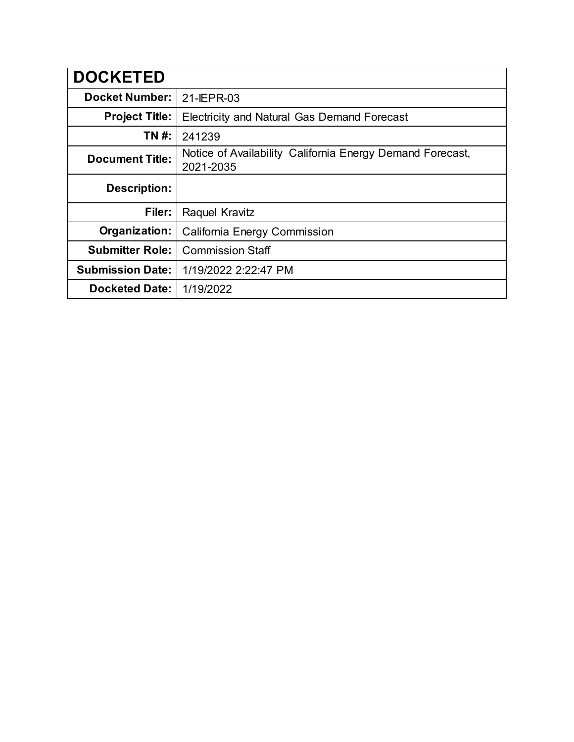| <b>DOCKETED</b>         |                                                                        |
|-------------------------|------------------------------------------------------------------------|
| <b>Docket Number:</b>   | 21-IEPR-03                                                             |
| <b>Project Title:</b>   | Electricity and Natural Gas Demand Forecast                            |
| TN #:                   | 241239                                                                 |
| <b>Document Title:</b>  | Notice of Availability California Energy Demand Forecast,<br>2021-2035 |
| <b>Description:</b>     |                                                                        |
| Filer:                  | Raquel Kravitz                                                         |
| Organization:           | California Energy Commission                                           |
| <b>Submitter Role:</b>  | <b>Commission Staff</b>                                                |
| <b>Submission Date:</b> | 1/19/2022 2:22:47 PM                                                   |
| <b>Docketed Date:</b>   | 1/19/2022                                                              |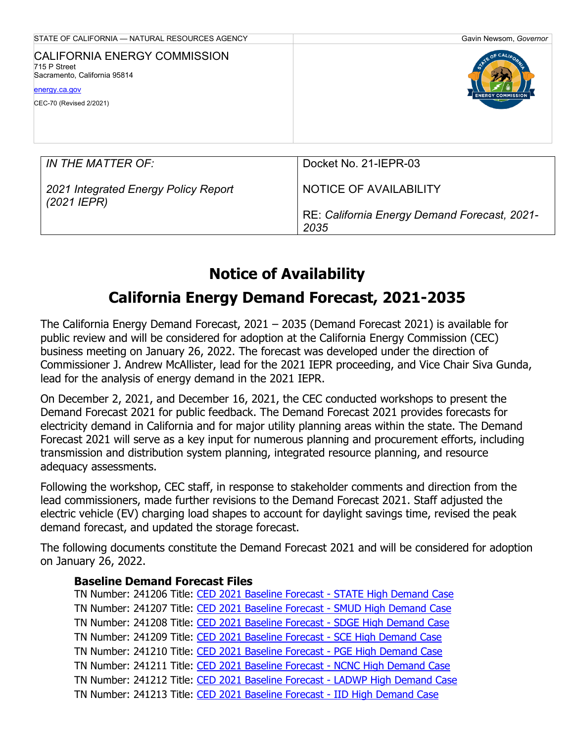| STATE OF CALIFORNIA - NATURAL RESOURCES AGENCY                                                                           | Gavin Newsom, Governor                               |
|--------------------------------------------------------------------------------------------------------------------------|------------------------------------------------------|
| CALIFORNIA ENERGY COMMISSION<br>715 P Street<br>Sacramento, California 95814<br>energy.ca.gov<br>CEC-70 (Revised 2/2021) | <b>ENERGY COMMISSIO</b>                              |
| IN THE MATTER OF:                                                                                                        | Docket No. 21-IEPR-03                                |
| 2021 Integrated Energy Policy Report<br>$(2021$ IEPR)                                                                    | NOTICE OF AVAILABILITY                               |
|                                                                                                                          | RE: California Energy Demand Forecast, 2021-<br>2035 |

# **Notice of Availability**

## **California Energy Demand Forecast, 2021-2035**

The California Energy Demand Forecast, 2021 – 2035 (Demand Forecast 2021) is available for public review and will be considered for adoption at the California Energy Commission (CEC) business meeting on January 26, 2022. The forecast was developed under the direction of Commissioner J. Andrew McAllister, lead for the 2021 IEPR proceeding, and Vice Chair Siva Gunda, lead for the analysis of energy demand in the 2021 IEPR.

On December 2, 2021, and December 16, 2021, the CEC conducted workshops to present the Demand Forecast 2021 for public feedback. The Demand Forecast 2021 provides forecasts for electricity demand in California and for major utility planning areas within the state. The Demand Forecast 2021 will serve as a key input for numerous planning and procurement efforts, including transmission and distribution system planning, integrated resource planning, and resource adequacy assessments.

Following the workshop, CEC staff, in response to stakeholder comments and direction from the lead commissioners, made further revisions to the Demand Forecast 2021. Staff adjusted the electric vehicle (EV) charging load shapes to account for daylight savings time, revised the peak demand forecast, and updated the storage forecast.

The following documents constitute the Demand Forecast 2021 and will be considered for adoption on January 26, 2022.

## **Baseline Demand Forecast Files**

TN Number: 241206 Title: [CED 2021 Baseline Forecast -](https://efiling.energy.ca.gov/GetDocument.aspx?tn=241206&DocumentContentId=75059) STATE High Demand Case TN Number: 241207 Title: [CED 2021 Baseline Forecast -](https://efiling.energy.ca.gov/GetDocument.aspx?tn=241207&DocumentContentId=75058) SMUD High Demand Case TN Number: 241208 Title: [CED 2021 Baseline Forecast -](https://efiling.energy.ca.gov/GetDocument.aspx?tn=241208&DocumentContentId=75057) SDGE High Demand Case TN Number: 241209 Title: [CED 2021 Baseline Forecast -](https://efiling.energy.ca.gov/GetDocument.aspx?tn=241209&DocumentContentId=75056) SCE High Demand Case TN Number: 241210 Title: [CED 2021 Baseline Forecast -](https://efiling.energy.ca.gov/GetDocument.aspx?tn=241210&DocumentContentId=75055) PGE High Demand Case TN Number: 241211 Title: [CED 2021 Baseline Forecast -](https://efiling.energy.ca.gov/GetDocument.aspx?tn=241211&DocumentContentId=75054) NCNC High Demand Case TN Number: 241212 Title: [CED 2021 Baseline Forecast -](https://efiling.energy.ca.gov/GetDocument.aspx?tn=241212&DocumentContentId=75053) LADWP High Demand Case TN Number: 241213 Title: [CED 2021 Baseline Forecast -](https://efiling.energy.ca.gov/GetDocument.aspx?tn=241213&DocumentContentId=75052) IID High Demand Case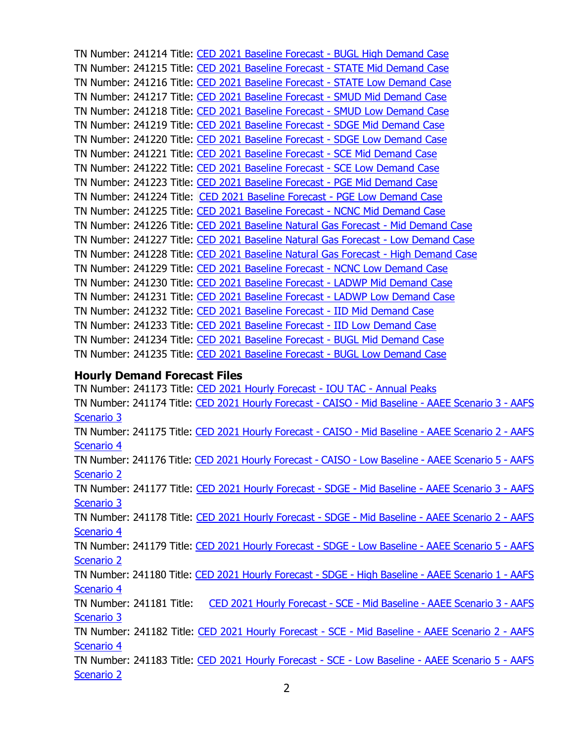TN Number: 241214 Title: [CED 2021 Baseline Forecast -](https://efiling.energy.ca.gov/GetDocument.aspx?tn=241214&DocumentContentId=75051) BUGL High Demand Case TN Number: 241215 Title: [CED 2021 Baseline Forecast -](https://efiling.energy.ca.gov/GetDocument.aspx?tn=241215&DocumentContentId=75070) STATE Mid Demand Case TN Number: 241216 Title: [CED 2021 Baseline Forecast -](https://efiling.energy.ca.gov/GetDocument.aspx?tn=241216&DocumentContentId=75069) STATE Low Demand Case TN Number: 241217 Title: [CED 2021 Baseline Forecast -](https://efiling.energy.ca.gov/GetDocument.aspx?tn=241217&DocumentContentId=75068) SMUD Mid Demand Case TN Number: 241218 Title: [CED 2021 Baseline Forecast -](https://efiling.energy.ca.gov/GetDocument.aspx?tn=241218&DocumentContentId=75067) SMUD Low Demand Case TN Number: 241219 Title: [CED 2021 Baseline Forecast -](https://efiling.energy.ca.gov/GetDocument.aspx?tn=241219&DocumentContentId=75066) SDGE Mid Demand Case TN Number: 241220 Title: [CED 2021 Baseline Forecast -](https://efiling.energy.ca.gov/GetDocument.aspx?tn=241220&DocumentContentId=75065) SDGE Low Demand Case TN Number: 241221 Title: [CED 2021 Baseline Forecast -](https://efiling.energy.ca.gov/GetDocument.aspx?tn=241221&DocumentContentId=75064) SCE Mid Demand Case TN Number: 241222 Title: [CED 2021 Baseline Forecast -](https://efiling.energy.ca.gov/GetDocument.aspx?tn=241222&DocumentContentId=75063) SCE Low Demand Case TN Number: 241223 Title: [CED 2021 Baseline Forecast -](https://efiling.energy.ca.gov/GetDocument.aspx?tn=241223&DocumentContentId=75062) PGE Mid Demand Case TN Number: 241224 Title: [CED 2021 Baseline Forecast -](https://efiling.energy.ca.gov/GetDocument.aspx?tn=241224&DocumentContentId=75061) PGE Low Demand Case TN Number: 241225 Title: [CED 2021 Baseline Forecast -](https://efiling.energy.ca.gov/GetDocument.aspx?tn=241225&DocumentContentId=75060) NCNC Mid Demand Case TN Number: 241226 Title: [CED 2021 Baseline Natural Gas Forecast -](https://efiling.energy.ca.gov/GetDocument.aspx?tn=241226&DocumentContentId=75073) Mid Demand Case TN Number: 241227 Title: [CED 2021 Baseline Natural Gas Forecast -](https://efiling.energy.ca.gov/GetDocument.aspx?tn=241227&DocumentContentId=75072) Low Demand Case TN Number: 241228 Title: [CED 2021 Baseline Natural Gas Forecast -](https://efiling.energy.ca.gov/GetDocument.aspx?tn=241228&DocumentContentId=75071) High Demand Case TN Number: 241229 Title: [CED 2021 Baseline Forecast -](https://efiling.energy.ca.gov/GetDocument.aspx?tn=241229&DocumentContentId=75080) NCNC Low Demand Case TN Number: 241230 Title: [CED 2021 Baseline Forecast -](https://efiling.energy.ca.gov/GetDocument.aspx?tn=241230&DocumentContentId=75079) LADWP Mid Demand Case TN Number: 241231 Title: [CED 2021 Baseline Forecast -](https://efiling.energy.ca.gov/GetDocument.aspx?tn=241231&DocumentContentId=75078) LADWP Low Demand Case TN Number: 241232 Title: [CED 2021 Baseline Forecast -](https://efiling.energy.ca.gov/GetDocument.aspx?tn=241232&DocumentContentId=75077) IID Mid Demand Case TN Number: 241233 Title: [CED 2021 Baseline Forecast -](https://efiling.energy.ca.gov/GetDocument.aspx?tn=241233&DocumentContentId=75076) IID Low Demand Case TN Number: 241234 Title: [CED 2021 Baseline Forecast -](https://efiling.energy.ca.gov/GetDocument.aspx?tn=241234&DocumentContentId=75075) BUGL Mid Demand Case TN Number: 241235 Title: [CED 2021 Baseline Forecast -](https://efiling.energy.ca.gov/GetDocument.aspx?tn=241235&DocumentContentId=75074) BUGL Low Demand Case

#### **Hourly Demand Forecast Files**

TN Number: 241173 Title: [CED 2021 Hourly Forecast -](https://efiling.energy.ca.gov/GetDocument.aspx?tn=241173&DocumentContentId=75020) IOU TAC - Annual Peaks TN Number: 241174 Title: [CED 2021 Hourly Forecast -](https://efiling.energy.ca.gov/GetDocument.aspx?tn=241174&DocumentContentId=75019) CAISO - Mid Baseline - AAEE Scenario 3 - AAFS [Scenario 3](https://efiling.energy.ca.gov/GetDocument.aspx?tn=241174&DocumentContentId=75019) TN Number: 241175 Title: [CED 2021 Hourly Forecast -](https://efiling.energy.ca.gov/GetDocument.aspx?tn=241175&DocumentContentId=75018) CAISO - Mid Baseline - AAEE Scenario 2 - AAFS [Scenario 4](https://efiling.energy.ca.gov/GetDocument.aspx?tn=241175&DocumentContentId=75018) TN Number: 241176 Title: [CED 2021 Hourly Forecast -](https://efiling.energy.ca.gov/GetDocument.aspx?tn=241176&DocumentContentId=75017) CAISO - Low Baseline - AAEE Scenario 5 - AAFS [Scenario 2](https://efiling.energy.ca.gov/GetDocument.aspx?tn=241176&DocumentContentId=75017) TN Number: 241177 Title: [CED 2021 Hourly Forecast -](https://efiling.energy.ca.gov/GetDocument.aspx?tn=241177&DocumentContentId=75033) SDGE - Mid Baseline - AAEE Scenario 3 - AAFS [Scenario 3](https://efiling.energy.ca.gov/GetDocument.aspx?tn=241177&DocumentContentId=75033) TN Number: 241178 Title: [CED 2021 Hourly Forecast -](https://efiling.energy.ca.gov/GetDocument.aspx?tn=241178&DocumentContentId=75032) SDGE - Mid Baseline - AAEE Scenario 2 - AAFS [Scenario 4](https://efiling.energy.ca.gov/GetDocument.aspx?tn=241178&DocumentContentId=75032) TN Number: 241179 Title: [CED 2021 Hourly Forecast -](https://efiling.energy.ca.gov/GetDocument.aspx?tn=241179&DocumentContentId=75031) SDGE - Low Baseline - AAEE Scenario 5 - AAFS [Scenario 2](https://efiling.energy.ca.gov/GetDocument.aspx?tn=241179&DocumentContentId=75031) TN Number: 241180 Title: [CED 2021 Hourly Forecast -](https://efiling.energy.ca.gov/GetDocument.aspx?tn=241180&DocumentContentId=75030) SDGE - High Baseline - AAEE Scenario 1 - AAFS [Scenario 4](https://efiling.energy.ca.gov/GetDocument.aspx?tn=241180&DocumentContentId=75030) TN Number: 241181 Title: [CED 2021 Hourly Forecast -](https://efiling.energy.ca.gov/GetDocument.aspx?tn=241181&DocumentContentId=75029) SCE - Mid Baseline - AAEE Scenario 3 - AAFS [Scenario 3](https://efiling.energy.ca.gov/GetDocument.aspx?tn=241181&DocumentContentId=75029) TN Number: 241182 Title: [CED 2021 Hourly Forecast -](https://efiling.energy.ca.gov/GetDocument.aspx?tn=241182&DocumentContentId=75028) SCE - Mid Baseline - AAEE Scenario 2 - AAFS [Scenario 4](https://efiling.energy.ca.gov/GetDocument.aspx?tn=241182&DocumentContentId=75028) TN Number: 241183 Title: [CED 2021 Hourly Forecast -](https://efiling.energy.ca.gov/GetDocument.aspx?tn=241183&DocumentContentId=75027) SCE - Low Baseline - AAEE Scenario 5 - AAFS [Scenario 2](https://efiling.energy.ca.gov/GetDocument.aspx?tn=241183&DocumentContentId=75027)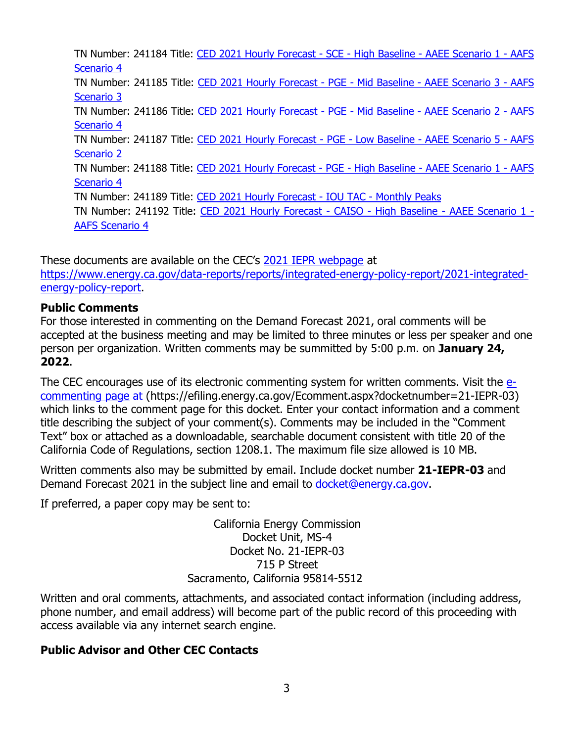TN Number: 241184 Title: [CED 2021 Hourly Forecast -](https://efiling.energy.ca.gov/GetDocument.aspx?tn=241184&DocumentContentId=75026) SCE - High Baseline - AAEE Scenario 1 - AAFS [Scenario 4](https://efiling.energy.ca.gov/GetDocument.aspx?tn=241184&DocumentContentId=75026) TN Number: 241185 Title: [CED 2021 Hourly Forecast -](https://efiling.energy.ca.gov/GetDocument.aspx?tn=241185&DocumentContentId=75025) PGE - Mid Baseline - AAEE Scenario 3 - AAFS [Scenario 3](https://efiling.energy.ca.gov/GetDocument.aspx?tn=241185&DocumentContentId=75025) TN Number: 241186 Title: [CED 2021 Hourly Forecast -](https://efiling.energy.ca.gov/GetDocument.aspx?tn=241186&DocumentContentId=75024) PGE - Mid Baseline - AAEE Scenario 2 - AAFS [Scenario 4](https://efiling.energy.ca.gov/GetDocument.aspx?tn=241186&DocumentContentId=75024) TN Number: 241187 Title: [CED 2021 Hourly Forecast -](https://efiling.energy.ca.gov/GetDocument.aspx?tn=241187&DocumentContentId=75023) PGE - Low Baseline - AAEE Scenario 5 - AAFS [Scenario 2](https://efiling.energy.ca.gov/GetDocument.aspx?tn=241187&DocumentContentId=75023) TN Number: 241188 Title: [CED 2021 Hourly Forecast -](https://efiling.energy.ca.gov/GetDocument.aspx?tn=241188&DocumentContentId=75022) PGE - High Baseline - AAEE Scenario 1 - AAFS [Scenario 4](https://efiling.energy.ca.gov/GetDocument.aspx?tn=241188&DocumentContentId=75022) TN Number: 241189 Title: [CED 2021 Hourly Forecast -](https://efiling.energy.ca.gov/GetDocument.aspx?tn=241189&DocumentContentId=75021) IOU TAC - Monthly Peaks TN Number: 241192 Title: [CED 2021 Hourly Forecast -](https://efiling.energy.ca.gov/GetDocument.aspx?tn=241192&DocumentContentId=75037) CAISO - High Baseline - AAEE Scenario 1 - [AAFS Scenario 4](https://efiling.energy.ca.gov/GetDocument.aspx?tn=241192&DocumentContentId=75037)

These documents are available on the CEC's [2021 IEPR webpa](https://www.energy.ca.gov/data-reports/reports/integrated-energy-policy-report/2021-integrated-energy-policy-report/2021-iepr)ge at [https://www.energy.ca.gov/data-reports/reports/integrated-energy-policy-report/2021-integrated](https://www.energy.ca.gov/data-reports/reports/integrated-energy-policy-report/2021-integrated-energy-policy-report)[energy-policy-report.](https://www.energy.ca.gov/data-reports/reports/integrated-energy-policy-report/2021-integrated-energy-policy-report)

## **Public Comments**

For those interested in commenting on the Demand Forecast 2021, oral comments will be accepted at the business meeting and may be limited to three minutes or less per speaker and one person per organization. Written comments may be summitted by 5:00 p.m. on **January 24, 2022**.

The CEC encourages use of its electronic commenting system for written comments. Visit the [e](https://efiling.energy.ca.gov/Ecomment/Ecomment.aspx?docketnumber=21-IEPR-03)[commenting page](https://efiling.energy.ca.gov/Ecomment/Ecomment.aspx?docketnumber=21-IEPR-03) at (https://efiling.energy.ca.gov/Ecomment.aspx?docketnumber=21-IEPR-03) which links to the comment page for this docket. Enter your contact information and a comment title describing the subject of your comment(s). Comments may be included in the "Comment Text" box or attached as a downloadable, searchable document consistent with title 20 of the California Code of Regulations, section 1208.1. The maximum file size allowed is 10 MB.

Written comments also may be submitted by email. Include docket number **21-IEPR-03** and Demand Forecast 2021 in the subject line and email to [docket@energy.ca.gov.](mailto:docket@energy.ca.gov)

If preferred, a paper copy may be sent to:

California Energy Commission Docket Unit, MS-4 Docket No. 21-IEPR-03 715 P Street Sacramento, California 95814-5512

Written and oral comments, attachments, and associated contact information (including address, phone number, and email address) will become part of the public record of this proceeding with access available via any internet search engine.

## **Public Advisor and Other CEC Contacts**